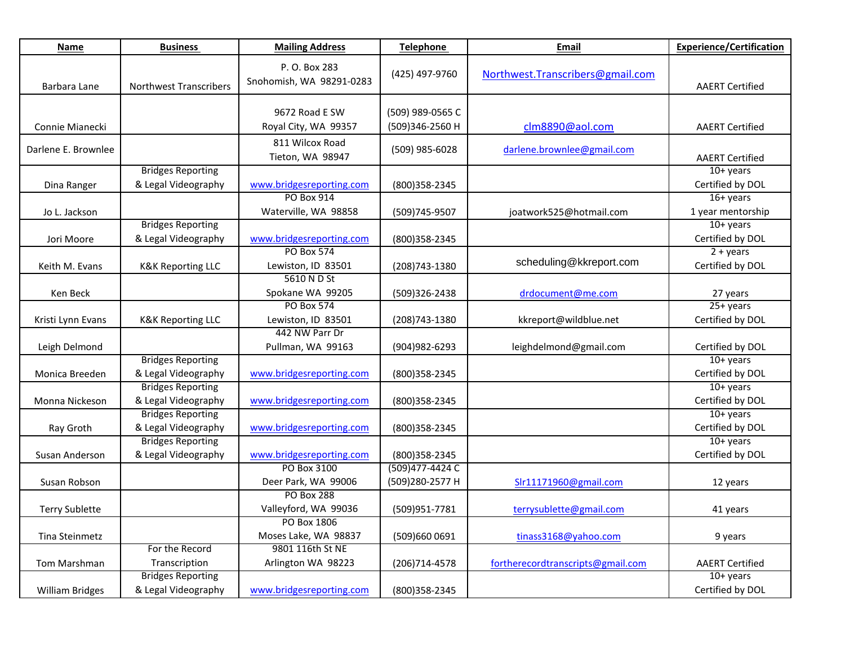| Name                   | <b>Business</b>                                 | <b>Mailing Address</b>                    | <b>Telephone</b>                    | Email                             | <b>Experience/Certification</b>        |
|------------------------|-------------------------------------------------|-------------------------------------------|-------------------------------------|-----------------------------------|----------------------------------------|
| Barbara Lane           | Northwest Transcribers                          | P. O. Box 283<br>Snohomish, WA 98291-0283 | (425) 497-9760                      | Northwest.Transcribers@gmail.com  | <b>AAERT Certified</b>                 |
| Connie Mianecki        |                                                 | 9672 Road E SW<br>Royal City, WA 99357    | (509) 989-0565 C<br>(509)346-2560 H | clm8890@aol.com                   | <b>AAERT Certified</b>                 |
| Darlene E. Brownlee    |                                                 | 811 Wilcox Road<br>Tieton, WA 98947       | (509) 985-6028                      | darlene.brownlee@gmail.com        | <b>AAERT Certified</b>                 |
| Dina Ranger            | <b>Bridges Reporting</b><br>& Legal Videography | www.bridgesreporting.com                  | (800) 358-2345                      |                                   | $10+$ years<br>Certified by DOL        |
| Jo L. Jackson          |                                                 | PO Box 914<br>Waterville, WA 98858        | (509)745-9507                       | joatwork525@hotmail.com           | 16+ years<br>1 year mentorship         |
| Jori Moore             | <b>Bridges Reporting</b><br>& Legal Videography | www.bridgesreporting.com                  | (800)358-2345                       |                                   | $10 + \gamma$ ears<br>Certified by DOL |
| Keith M. Evans         | <b>K&amp;K Reporting LLC</b>                    | <b>PO Box 574</b><br>Lewiston, ID 83501   | (208) 743-1380                      | scheduling@kkreport.com           | $2 + years$<br>Certified by DOL        |
| Ken Beck               |                                                 | 5610 N D St<br>Spokane WA 99205           | (509)326-2438                       | drdocument@me.com                 | 27 years                               |
| Kristi Lynn Evans      | <b>K&amp;K Reporting LLC</b>                    | <b>PO Box 574</b><br>Lewiston, ID 83501   | (208) 743-1380                      | kkreport@wildblue.net             | $25+ years$<br>Certified by DOL        |
| Leigh Delmond          |                                                 | 442 NW Parr Dr<br>Pullman, WA 99163       | (904) 982-6293                      | leighdelmond@gmail.com            | Certified by DOL                       |
| Monica Breeden         | <b>Bridges Reporting</b><br>& Legal Videography | www.bridgesreporting.com                  | (800)358-2345                       |                                   | $10+$ years<br>Certified by DOL        |
| Monna Nickeson         | <b>Bridges Reporting</b><br>& Legal Videography | www.bridgesreporting.com                  | (800)358-2345                       |                                   | $10+$ years<br>Certified by DOL        |
| Ray Groth              | <b>Bridges Reporting</b><br>& Legal Videography | www.bridgesreporting.com                  | (800)358-2345                       |                                   | $10 + \gamma$ ears<br>Certified by DOL |
| Susan Anderson         | <b>Bridges Reporting</b><br>& Legal Videography | www.bridgesreporting.com                  | (800)358-2345                       |                                   | $10+$ years<br>Certified by DOL        |
| Susan Robson           |                                                 | PO Box 3100<br>Deer Park, WA 99006        | (509) 477-4424 C<br>(509)280-2577 H | Slr11171960@gmail.com             | 12 years                               |
| <b>Terry Sublette</b>  |                                                 | <b>PO Box 288</b><br>Valleyford, WA 99036 | (509)951-7781                       | terrysublette@gmail.com           | 41 years                               |
| Tina Steinmetz         |                                                 | PO Box 1806<br>Moses Lake, WA 98837       | (509)660 0691                       | tinass3168@yahoo.com              | 9 years                                |
| Tom Marshman           | For the Record<br>Transcription                 | 9801 116th St NE<br>Arlington WA 98223    | (206)714-4578                       | fortherecordtranscripts@gmail.com | <b>AAERT Certified</b>                 |
| <b>William Bridges</b> | <b>Bridges Reporting</b><br>& Legal Videography | www.bridgesreporting.com                  | (800)358-2345                       |                                   | $10+$ years<br>Certified by DOL        |